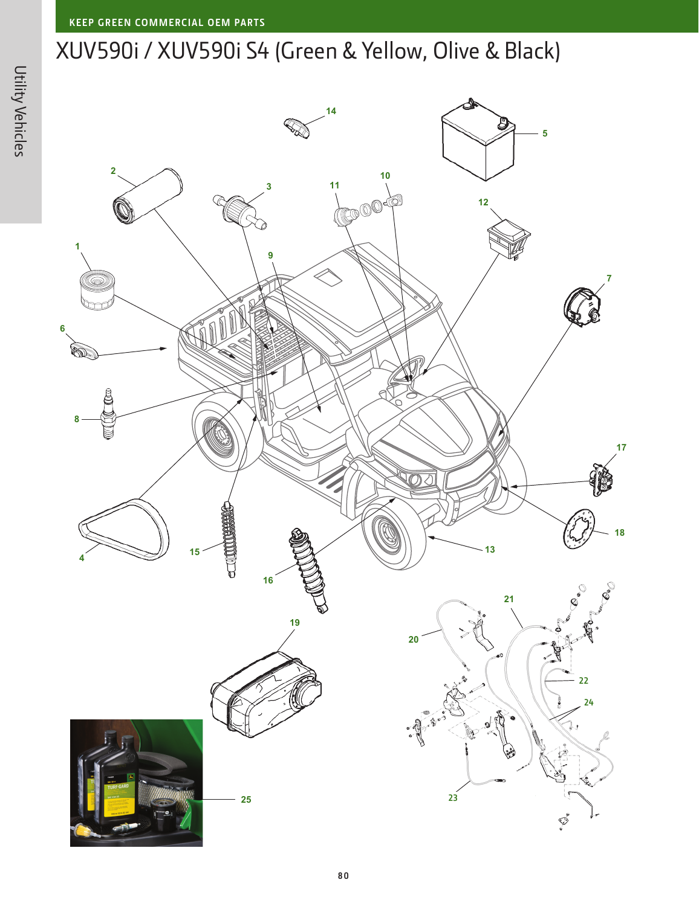## XUV590i / XUV590i S4 (Green & Yellow, Olive & Black)